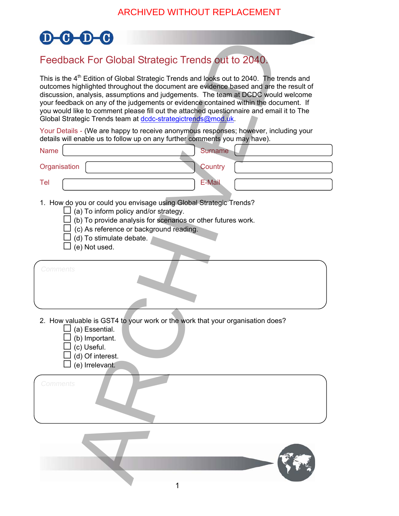

## Feedback For Global Strategic Trends out to 2040.

| Feedback For Global Strategic Trends out to 2040.                                                                                                                                                                                                                                                                                                                                                                                                                                                                                     |
|---------------------------------------------------------------------------------------------------------------------------------------------------------------------------------------------------------------------------------------------------------------------------------------------------------------------------------------------------------------------------------------------------------------------------------------------------------------------------------------------------------------------------------------|
| This is the 4 <sup>th</sup> Edition of Global Strategic Trends and looks out to 2040. The trends and<br>outcomes highlighted throughout the document are evidence based and are the result of<br>discussion, analysis, assumptions and judgements. The team at DCDC would welcome<br>your feedback on any of the judgements or evidence contained within the document. If<br>you would like to comment please fill out the attached questionnaire and email it to The<br>Global Strategic Trends team at dcdc-strategictrends@mod.uk. |
| Your Details - (We are happy to receive anonymous responses; however, including your<br>details will enable us to follow up on any further comments you may have).                                                                                                                                                                                                                                                                                                                                                                    |
| <b>Surname</b><br><b>Name</b>                                                                                                                                                                                                                                                                                                                                                                                                                                                                                                         |
| Organisation<br>Country                                                                                                                                                                                                                                                                                                                                                                                                                                                                                                               |
| <b>E-Mail</b><br>Tel                                                                                                                                                                                                                                                                                                                                                                                                                                                                                                                  |
| 1. How do you or could you envisage using Global Strategic Trends?<br>(a) To inform policy and/or strategy.<br>(b) To provide analysis for scenarios or other futures work.<br>(c) As reference or background reading.<br>(d) To stimulate debate.<br>(e) Not used.                                                                                                                                                                                                                                                                   |
| Comments                                                                                                                                                                                                                                                                                                                                                                                                                                                                                                                              |
| 2. How valuable is GST4 to your work or the work that your organisation does?<br>$\!\!\!\Box$ (a) Essential.<br>(b) Important.<br>(c) Useful.<br>(d) Of interest.<br>(e) Irrelevant.                                                                                                                                                                                                                                                                                                                                                  |
| Comments                                                                                                                                                                                                                                                                                                                                                                                                                                                                                                                              |
|                                                                                                                                                                                                                                                                                                                                                                                                                                                                                                                                       |
|                                                                                                                                                                                                                                                                                                                                                                                                                                                                                                                                       |
|                                                                                                                                                                                                                                                                                                                                                                                                                                                                                                                                       |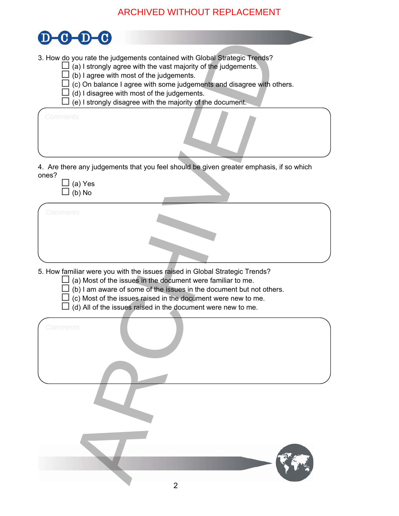## ARCHIVED WITHOUT REPLACEMENT

| 3. How do you rate the judgements contained with Global Strategic Trends?<br>(a) I strongly agree with the vast majority of the judgements.<br>(b) I agree with most of the judgements.<br>I (c) On balance I agree with some judgements and disagree with others.<br>(d) I disagree with most of the judgements.<br>(e) I strongly disagree with the majority of the document. |
|---------------------------------------------------------------------------------------------------------------------------------------------------------------------------------------------------------------------------------------------------------------------------------------------------------------------------------------------------------------------------------|
| <b>Comments</b>                                                                                                                                                                                                                                                                                                                                                                 |
| 4. Are there any judgements that you feel should be given greater emphasis, if so which<br>ones?                                                                                                                                                                                                                                                                                |
| (a) Yes<br>(b) No                                                                                                                                                                                                                                                                                                                                                               |
| Comments                                                                                                                                                                                                                                                                                                                                                                        |
|                                                                                                                                                                                                                                                                                                                                                                                 |
|                                                                                                                                                                                                                                                                                                                                                                                 |
| 5. How familiar were you with the issues raised in Global Strategic Trends?<br>(a) Most of the issues in the document were familiar to me.<br>(b) I am aware of some of the issues in the document but not others.<br>(c) Most of the issues raised in the document were new to me.<br>(d) All of the issues raised in the document were new to me.                             |
| Comments                                                                                                                                                                                                                                                                                                                                                                        |
|                                                                                                                                                                                                                                                                                                                                                                                 |
|                                                                                                                                                                                                                                                                                                                                                                                 |
|                                                                                                                                                                                                                                                                                                                                                                                 |
|                                                                                                                                                                                                                                                                                                                                                                                 |